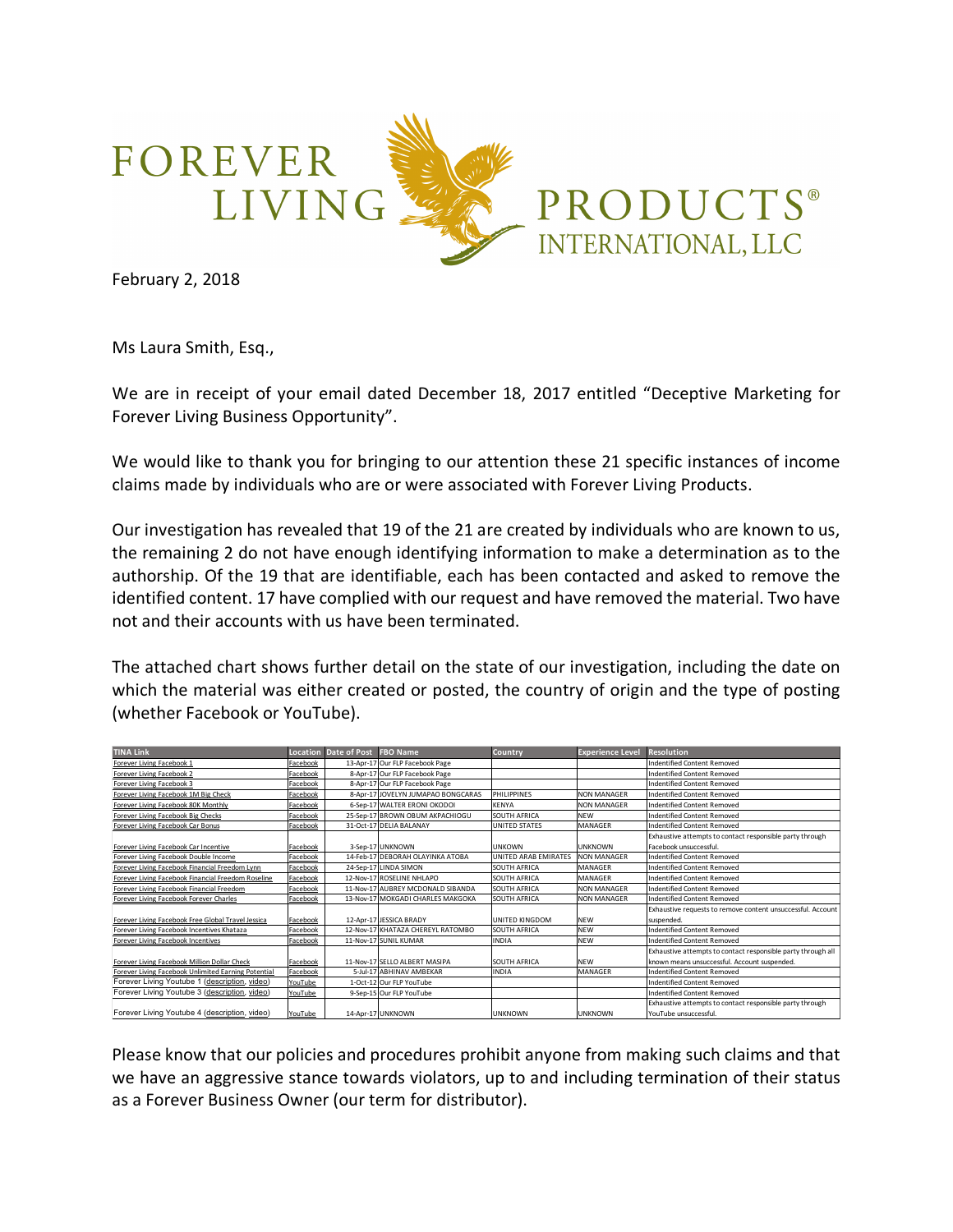

February 2, 2018

Ms Laura Smith, Esq.,

We are in receipt of your email dated December 18, 2017 entitled "Deceptive Marketing for Forever Living Business Opportunity".

We would like to thank you for bringing to our attention these 21 specific instances of income claims made by individuals who are or were associated with Forever Living Products.

Our investigation has revealed that 19 of the 21 are created by individuals who are known to us, the remaining 2 do not have enough identifying information to make a determination as to the authorship. Of the 19 that are identifiable, each has been contacted and asked to remove the identified content. 17 have complied with our request and have removed the material. Two have not and their accounts with us have been terminated.

The attached chart shows further detail on the state of our investigation, including the date on which the material was either created or posted, the country of origin and the type of posting (whether Facebook or YouTube).

| <b>TINA Link</b>                                    |          | Location Date of Post FBO Name |                                    | Country              | <b>Experience Level</b> | <b>Resolution</b>                                            |
|-----------------------------------------------------|----------|--------------------------------|------------------------------------|----------------------|-------------------------|--------------------------------------------------------------|
| Forever Living Facebook 1                           | Facebook |                                | 13-Apr-17 Our FLP Facebook Page    |                      |                         | <b>Indentified Content Removed</b>                           |
| Forever Living Facebook 2                           | Facebook |                                | 8-Apr-17 Our FLP Facebook Page     |                      |                         | <b>Indentified Content Removed</b>                           |
| Forever Living Facebook 3                           | Facebook |                                | 8-Apr-17 Our FLP Facebook Page     |                      |                         | Indentified Content Removed                                  |
| Forever Living Facebook 1M Big Check                | Facebook |                                | 8-Apr-17 JOVELYN JUMAPAO BONGCARAS | PHILIPPINES          | <b>NON MANAGER</b>      | <b>Indentified Content Removed</b>                           |
| Forever Living Facebook 80K Monthly                 | Facebook |                                | 6-Sep-17 WALTER ERONI OKODOI       | <b>KENYA</b>         | <b>NON MANAGER</b>      | <b>Indentified Content Removed</b>                           |
| Forever Living Facebook Big Checks                  | Facebook |                                | 25-Sep-17 BROWN OBUM AKPACHIOGU    | SOUTH AFRICA         | <b>NEW</b>              | <b>Indentified Content Removed</b>                           |
| Forever Living Facebook Car Bonus                   | Facebook |                                | 31-Oct-17 DELIA BALANAY            | UNITED STATES        | <b>MANAGER</b>          | Indentified Content Removed                                  |
|                                                     |          |                                |                                    |                      |                         | Exhaustive attempts to contact responsible party through     |
| Forever Living Facebook Car Incentive               | Facebook |                                | 3-Sep-17 UNKNOWN                   | <b>UNKOWN</b>        | <b>UNKNOWN</b>          | Facebook unsuccessful.                                       |
| Forever Living Facebook Double Income               | Facebook |                                | 14-Feb-17 DEBORAH OLAYINKA ATOBA   | UNITED ARAB EMIRATES | <b>NON MANAGER</b>      | Indentified Content Removed                                  |
| Forever Living Facebook Financial Freedom Lynn      | Facebook |                                | 24-Sep-17 LINDA SIMON              | SOUTH AFRICA         | <b>MANAGER</b>          | Indentified Content Removed                                  |
| Forever Living Facebook Financial Freedom Roseline  | Facebook |                                | 12-Nov-17 ROSELINE NHLAPO          | SOUTH AFRICA         | <b>MANAGER</b>          | <b>Indentified Content Removed</b>                           |
| Forever Living Facebook Financial Freedom           | Facebook |                                | 11-Nov-17 AUBREY MCDONALD SIBANDA  | <b>SOUTH AFRICA</b>  | <b>NON MANAGER</b>      | <b>Indentified Content Removed</b>                           |
| Forever Living Facebook Forever Charles             | Facebook |                                | 13-Nov-17 MOKGADI CHARLES MAKGOKA  | <b>SOUTH AFRICA</b>  | <b>NON MANAGER</b>      | <b>Indentified Content Removed</b>                           |
|                                                     |          |                                |                                    |                      |                         | Exhaustive requests to remove content unsuccessful. Account  |
| Forever Living Facebook Free Global Travel Jessica  | Facebook |                                | 12-Apr-17 JESSICA BRADY            | UNITED KINGDOM       | <b>NEW</b>              | suspended.                                                   |
| Forever Living Facebook Incentives Khataza          | Facebook |                                | 12-Nov-17 KHATAZA CHEREYL RATOMBO  | SOUTH AFRICA         | <b>NFW</b>              | <b>Indentified Content Removed</b>                           |
| Forever Living Facebook Incentives                  | Facebook |                                | 11-Nov-17 SUNIL KUMAR              | <b>INDIA</b>         | <b>NEW</b>              | <b>Indentified Content Removed</b>                           |
|                                                     |          |                                |                                    |                      |                         | Exhaustive attempts to contact responsible party through all |
| Forever Living Facebook Million Dollar Check        | Facebook |                                | 11-Nov-17 SELLO ALBERT MASIPA      | <b>SOUTH AFRICA</b>  | <b>NFW</b>              | known means unsuccessful. Account suspended.                 |
| Forever Living Facebook Unlimited Earning Potential | Facebook |                                | 5-Jul-17 ABHINAV AMBEKAR           | <b>INDIA</b>         | <b>MANAGER</b>          | <b>Indentified Content Removed</b>                           |
| Forever Living Youtube 1 (description, video)       | YouTube  |                                | 1-Oct-12 Our FLP YouTube           |                      |                         | Indentified Content Removed                                  |
| Forever Living Youtube 3 (description, video)       | YouTube  |                                | 9-Sep-15 Our FLP YouTube           |                      |                         | <b>Indentified Content Removed</b>                           |
|                                                     |          |                                |                                    |                      |                         | Exhaustive attempts to contact responsible party through     |
| Forever Living Youtube 4 (description, video)       | YouTube  |                                | 14-Apr-17 UNKNOWN                  | <b>UNKNOWN</b>       | <b>UNKNOWN</b>          | YouTube unsuccessful.                                        |

Please know that our policies and procedures prohibit anyone from making such claims and that we have an aggressive stance towards violators, up to and including termination of their status as a Forever Business Owner (our term for distributor).